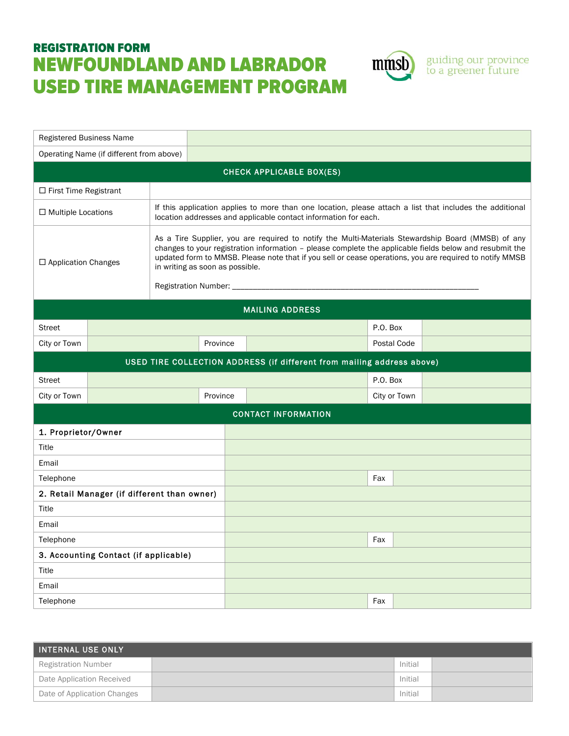## REGISTRATION FORM NEWFOUNDLAND AND LABRADOR USED TIRE MANAGEMENT PROGRAM



guiding our province<br>to a greener future

| Operating Name (if different from above)<br><b>CHECK APPLICABLE BOX(ES)</b><br>$\Box$ First Time Registrant<br>If this application applies to more than one location, please attach a list that includes the additional<br>$\Box$ Multiple Locations<br>location addresses and applicable contact information for each.<br>As a Tire Supplier, you are required to notify the Multi-Materials Stewardship Board (MMSB) of any |  |  |  |  |  |
|-------------------------------------------------------------------------------------------------------------------------------------------------------------------------------------------------------------------------------------------------------------------------------------------------------------------------------------------------------------------------------------------------------------------------------|--|--|--|--|--|
|                                                                                                                                                                                                                                                                                                                                                                                                                               |  |  |  |  |  |
|                                                                                                                                                                                                                                                                                                                                                                                                                               |  |  |  |  |  |
|                                                                                                                                                                                                                                                                                                                                                                                                                               |  |  |  |  |  |
|                                                                                                                                                                                                                                                                                                                                                                                                                               |  |  |  |  |  |
| changes to your registration information - please complete the applicable fields below and resubmit the<br>updated form to MMSB. Please note that if you sell or cease operations, you are required to notify MMSB<br>□ Application Changes<br>in writing as soon as possible.<br>Registration Number: __                                                                                                                     |  |  |  |  |  |
| <b>MAILING ADDRESS</b>                                                                                                                                                                                                                                                                                                                                                                                                        |  |  |  |  |  |
| P.O. Box<br><b>Street</b>                                                                                                                                                                                                                                                                                                                                                                                                     |  |  |  |  |  |
| City or Town<br>Province<br>Postal Code                                                                                                                                                                                                                                                                                                                                                                                       |  |  |  |  |  |
| USED TIRE COLLECTION ADDRESS (if different from mailing address above)                                                                                                                                                                                                                                                                                                                                                        |  |  |  |  |  |
| P.O. Box<br><b>Street</b>                                                                                                                                                                                                                                                                                                                                                                                                     |  |  |  |  |  |
| City or Town<br>Province<br>City or Town                                                                                                                                                                                                                                                                                                                                                                                      |  |  |  |  |  |
| <b>CONTACT INFORMATION</b>                                                                                                                                                                                                                                                                                                                                                                                                    |  |  |  |  |  |
| 1. Proprietor/Owner                                                                                                                                                                                                                                                                                                                                                                                                           |  |  |  |  |  |
| Title                                                                                                                                                                                                                                                                                                                                                                                                                         |  |  |  |  |  |
| Email                                                                                                                                                                                                                                                                                                                                                                                                                         |  |  |  |  |  |
| Telephone<br>Fax                                                                                                                                                                                                                                                                                                                                                                                                              |  |  |  |  |  |
| 2. Retail Manager (if different than owner)                                                                                                                                                                                                                                                                                                                                                                                   |  |  |  |  |  |
| Title                                                                                                                                                                                                                                                                                                                                                                                                                         |  |  |  |  |  |
| Email                                                                                                                                                                                                                                                                                                                                                                                                                         |  |  |  |  |  |
| Telephone<br>Fax                                                                                                                                                                                                                                                                                                                                                                                                              |  |  |  |  |  |
| 3. Accounting Contact (if applicable)                                                                                                                                                                                                                                                                                                                                                                                         |  |  |  |  |  |
| Title<br>Email                                                                                                                                                                                                                                                                                                                                                                                                                |  |  |  |  |  |
| Telephone<br>Fax                                                                                                                                                                                                                                                                                                                                                                                                              |  |  |  |  |  |

| <b>INTERNAL USE ONLY</b>    |         |  |
|-----------------------------|---------|--|
| <b>Registration Number</b>  | Initial |  |
| Date Application Received   | Initial |  |
| Date of Application Changes | Initial |  |